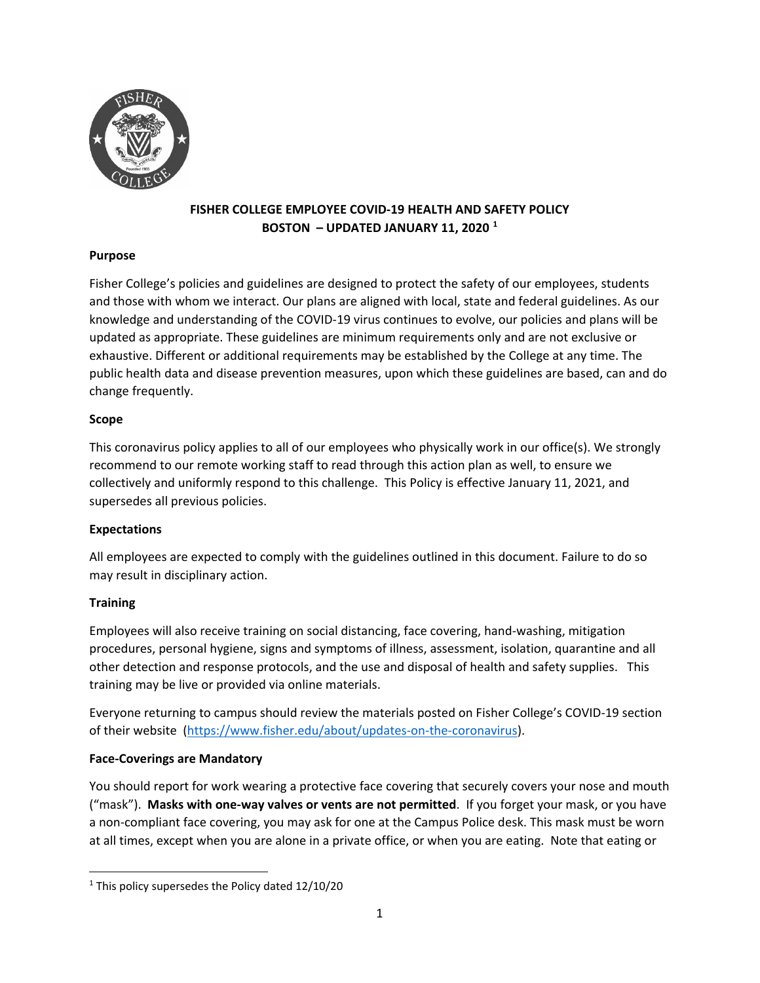

# **FISHER COLLEGE EMPLOYEE COVID-19 HEALTH AND SAFETY POLICY BOSTON – UPDATED JANUARY 11, 2020 [1](#page-0-0)**

## **Purpose**

Fisher College's policies and guidelines are designed to protect the safety of our employees, students and those with whom we interact. Our plans are aligned with local, state and federal guidelines. As our knowledge and understanding of the COVID-19 virus continues to evolve, our policies and plans will be updated as appropriate. These guidelines are minimum requirements only and are not exclusive or exhaustive. Different or additional requirements may be established by the College at any time. The public health data and disease prevention measures, upon which these guidelines are based, can and do change frequently.

## **Scope**

This coronavirus policy applies to all of our employees who physically work in our office(s). We strongly recommend to our remote working staff to read through this action plan as well, to ensure we collectively and uniformly respond to this challenge. This Policy is effective January 11, 2021, and supersedes all previous policies.

# **Expectations**

All employees are expected to comply with the guidelines outlined in this document. Failure to do so may result in disciplinary action.

# **Training**

Employees will also receive training on social distancing, face covering, hand-washing, mitigation procedures, personal hygiene, signs and symptoms of illness, assessment, isolation, quarantine and all other detection and response protocols, and the use and disposal of health and safety supplies. This training may be live or provided via online materials.

Everyone returning to campus should review the materials posted on Fisher College's COVID-19 section of their website [\(https://www.fisher.edu/about/updates-on-the-coronavirus\)](https://www.fisher.edu/about/updates-on-the-coronavirus).

# **Face-Coverings are Mandatory**

You should report for work wearing a protective face covering that securely covers your nose and mouth ("mask"). **Masks with one-way valves or vents are not permitted**. If you forget your mask, or you have a non-compliant face covering, you may ask for one at the Campus Police desk. This mask must be worn at all times, except when you are alone in a private office, or when you are eating. Note that eating or

<span id="page-0-0"></span> $1$  This policy supersedes the Policy dated  $12/10/20$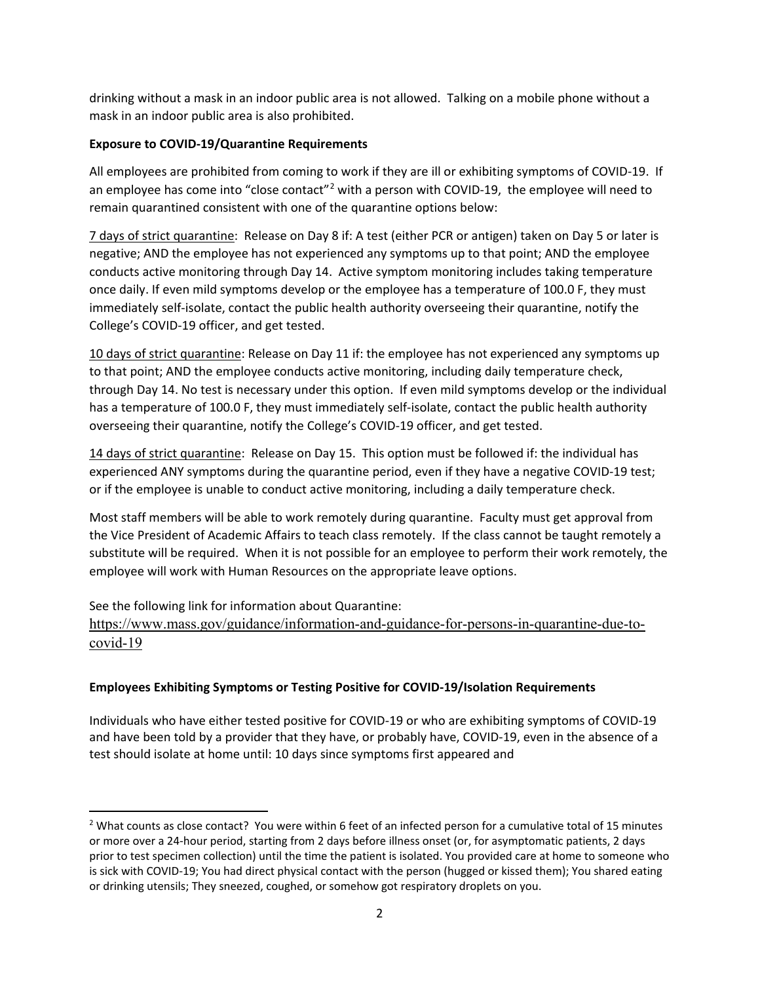drinking without a mask in an indoor public area is not allowed. Talking on a mobile phone without a mask in an indoor public area is also prohibited.

## **Exposure to COVID-19/Quarantine Requirements**

All employees are prohibited from coming to work if they are ill or exhibiting symptoms of COVID-19. If an employee has come into "close contact"<sup>[2](#page-1-0)</sup> with a person with COVID-19, the employee will need to remain quarantined consistent with one of the quarantine options below:

7 days of strict quarantine: Release on Day 8 if: A test (either PCR or antigen) taken on Day 5 or later is negative; AND the employee has not experienced any symptoms up to that point; AND the employee conducts active monitoring through Day 14. Active symptom monitoring includes taking temperature once daily. If even mild symptoms develop or the employee has a temperature of 100.0 F, they must immediately self-isolate, contact the public health authority overseeing their quarantine, notify the College's COVID-19 officer, and get tested.

10 days of strict quarantine: Release on Day 11 if: the employee has not experienced any symptoms up to that point; AND the employee conducts active monitoring, including daily temperature check, through Day 14. No test is necessary under this option. If even mild symptoms develop or the individual has a temperature of 100.0 F, they must immediately self-isolate, contact the public health authority overseeing their quarantine, notify the College's COVID-19 officer, and get tested.

14 days of strict quarantine: Release on Day 15. This option must be followed if: the individual has experienced ANY symptoms during the quarantine period, even if they have a negative COVID-19 test; or if the employee is unable to conduct active monitoring, including a daily temperature check.

Most staff members will be able to work remotely during quarantine. Faculty must get approval from the Vice President of Academic Affairs to teach class remotely. If the class cannot be taught remotely a substitute will be required. When it is not possible for an employee to perform their work remotely, the employee will work with Human Resources on the appropriate leave options.

See the following link for information about Quarantine: [https://www.mass.gov/guidance/information-and-guidance-for-persons-in-quarantine-due-to](https://www.mass.gov/guidance/information-and-guidance-for-persons-in-quarantine-due-to-covid-19)[covid-19](https://www.mass.gov/guidance/information-and-guidance-for-persons-in-quarantine-due-to-covid-19)

# **Employees Exhibiting Symptoms or Testing Positive for COVID-19/Isolation Requirements**

Individuals who have either tested positive for COVID-19 or who are exhibiting symptoms of COVID-19 and have been told by a provider that they have, or probably have, COVID-19, even in the absence of a test should isolate at home until: 10 days since symptoms first appeared and

<span id="page-1-0"></span> $2$  What counts as close contact? You were within 6 feet of an infected person for a cumulative total of 15 minutes or more over a 24-hour period, starting from 2 days before illness onset (or, for asymptomatic patients, 2 days prior to test specimen collection) until the time the patient is isolated. You provided care at home to someone who is sick with COVID-19; You had direct physical contact with the person (hugged or kissed them); You shared eating or drinking utensils; They sneezed, coughed, or somehow got respiratory droplets on you.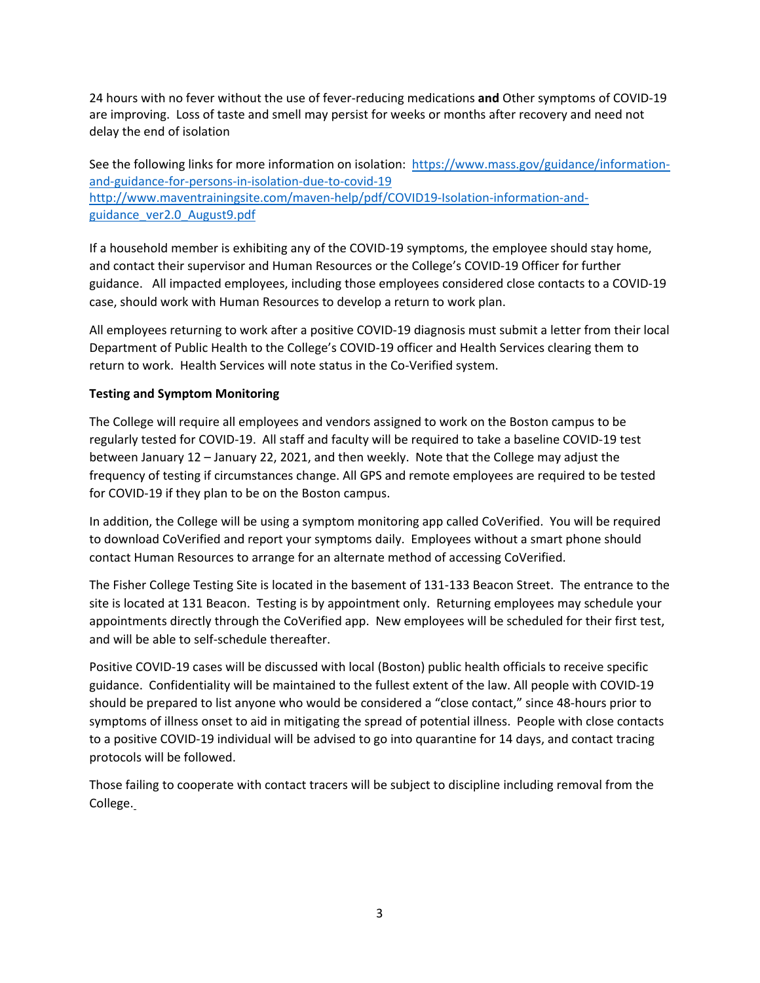24 hours with no fever without the use of fever-reducing medications **and** Other symptoms of COVID-19 are improving. Loss of taste and smell may persist for weeks or months after recovery and need not delay the end of isolation

See the following links for more information on isolation: [https://www.mass.gov/guidance/information](https://www.mass.gov/guidance/information-and-guidance-for-persons-in-isolation-due-to-covid-19)[and-guidance-for-persons-in-isolation-due-to-covid-19](https://www.mass.gov/guidance/information-and-guidance-for-persons-in-isolation-due-to-covid-19) [http://www.maventrainingsite.com/maven-help/pdf/COVID19-Isolation-information-and](http://www.maventrainingsite.com/maven-help/pdf/COVID19-Isolation-information-and-guidance_ver2.0_August9.pdf)[guidance\\_ver2.0\\_August9.pdf](http://www.maventrainingsite.com/maven-help/pdf/COVID19-Isolation-information-and-guidance_ver2.0_August9.pdf)

If a household member is exhibiting any of the COVID-19 symptoms, the employee should stay home, and contact their supervisor and Human Resources or the College's COVID-19 Officer for further guidance. All impacted employees, including those employees considered close contacts to a COVID-19 case, should work with Human Resources to develop a return to work plan.

All employees returning to work after a positive COVID-19 diagnosis must submit a letter from their local Department of Public Health to the College's COVID-19 officer and Health Services clearing them to return to work. Health Services will note status in the Co-Verified system.

## **Testing and Symptom Monitoring**

The College will require all employees and vendors assigned to work on the Boston campus to be regularly tested for COVID-19. All staff and faculty will be required to take a baseline COVID-19 test between January 12 – January 22, 2021, and then weekly. Note that the College may adjust the frequency of testing if circumstances change. All GPS and remote employees are required to be tested for COVID-19 if they plan to be on the Boston campus.

In addition, the College will be using a symptom monitoring app called CoVerified. You will be required to download CoVerified and report your symptoms daily. Employees without a smart phone should contact Human Resources to arrange for an alternate method of accessing CoVerified.

The Fisher College Testing Site is located in the basement of 131-133 Beacon Street. The entrance to the site is located at 131 Beacon. Testing is by appointment only. Returning employees may schedule your appointments directly through the CoVerified app. New employees will be scheduled for their first test, and will be able to self-schedule thereafter.

Positive COVID-19 cases will be discussed with local (Boston) public health officials to receive specific guidance. Confidentiality will be maintained to the fullest extent of the law. All people with COVID-19 should be prepared to list anyone who would be considered a "close contact," since 48-hours prior to symptoms of illness onset to aid in mitigating the spread of potential illness.  People with close contacts to a positive COVID-19 individual will be advised to go into quarantine for 14 days, and contact tracing protocols will be followed.

Those failing to cooperate with contact tracers will be subject to discipline including removal from the College.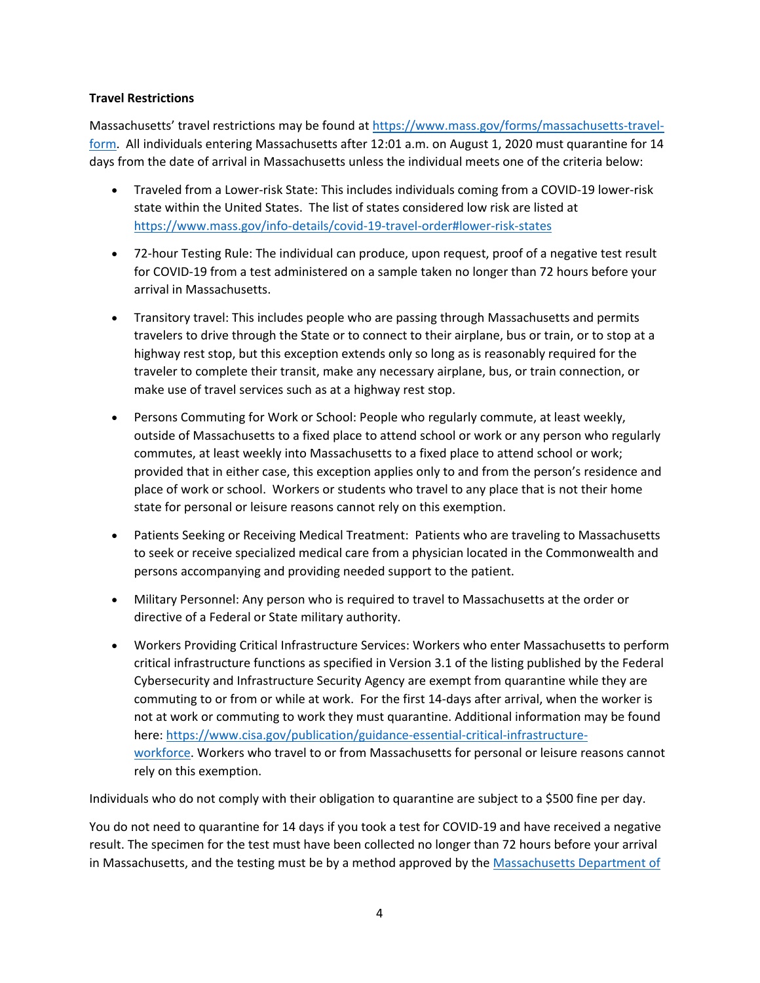## **Travel Restrictions**

Massachusetts' travel restrictions may be found at [https://www.mass.gov/forms/massachusetts-travel](https://www.mass.gov/forms/massachusetts-travel-form)[form.](https://www.mass.gov/forms/massachusetts-travel-form) All individuals entering Massachusetts after 12:01 a.m. on August 1, 2020 must quarantine for 14 days from the date of arrival in Massachusetts unless the individual meets one of the criteria below:

- Traveled from a Lower-risk State: This includes individuals coming from a COVID-19 lower-risk state within the United States. The list of states considered low risk are listed at <https://www.mass.gov/info-details/covid-19-travel-order#lower-risk-states>
- 72-hour Testing Rule: The individual can produce, upon request, proof of a negative test result for COVID-19 from a test administered on a sample taken no longer than 72 hours before your arrival in Massachusetts.
- Transitory travel: This includes people who are passing through Massachusetts and permits travelers to drive through the State or to connect to their airplane, bus or train, or to stop at a highway rest stop, but this exception extends only so long as is reasonably required for the traveler to complete their transit, make any necessary airplane, bus, or train connection, or make use of travel services such as at a highway rest stop.
- Persons Commuting for Work or School: People who regularly commute, at least weekly, outside of Massachusetts to a fixed place to attend school or work or any person who regularly commutes, at least weekly into Massachusetts to a fixed place to attend school or work; provided that in either case, this exception applies only to and from the person's residence and place of work or school.  Workers or students who travel to any place that is not their home state for personal or leisure reasons cannot rely on this exemption.
- Patients Seeking or Receiving Medical Treatment:  Patients who are traveling to Massachusetts to seek or receive specialized medical care from a physician located in the Commonwealth and persons accompanying and providing needed support to the patient.
- Military Personnel: Any person who is required to travel to Massachusetts at the order or directive of a Federal or State military authority.
- Workers Providing Critical Infrastructure Services: Workers who enter Massachusetts to perform critical infrastructure functions as specified in Version 3.1 of the listing published by the Federal Cybersecurity and Infrastructure Security Agency are exempt from quarantine while they are commuting to or from or while at work.  For the first 14-days after arrival, when the worker is not at work or commuting to work they must quarantine. Additional information may be found here: [https://www.cisa.gov/publication/guidance-essential-critical-infrastructure](https://www.cisa.gov/publication/guidance-essential-critical-infrastructure-workforce)[workforce](https://www.cisa.gov/publication/guidance-essential-critical-infrastructure-workforce). Workers who travel to or from Massachusetts for personal or leisure reasons cannot rely on this exemption.

Individuals who do not comply with their obligation to quarantine are subject to a \$500 fine per day.

You do not need to quarantine for 14 days if you took a test for COVID-19 and have received a negative result. The specimen for the test must have been collected no longer than 72 hours before your arrival in Massachusetts, and the testing must be by a method approved by the Massachusetts Department of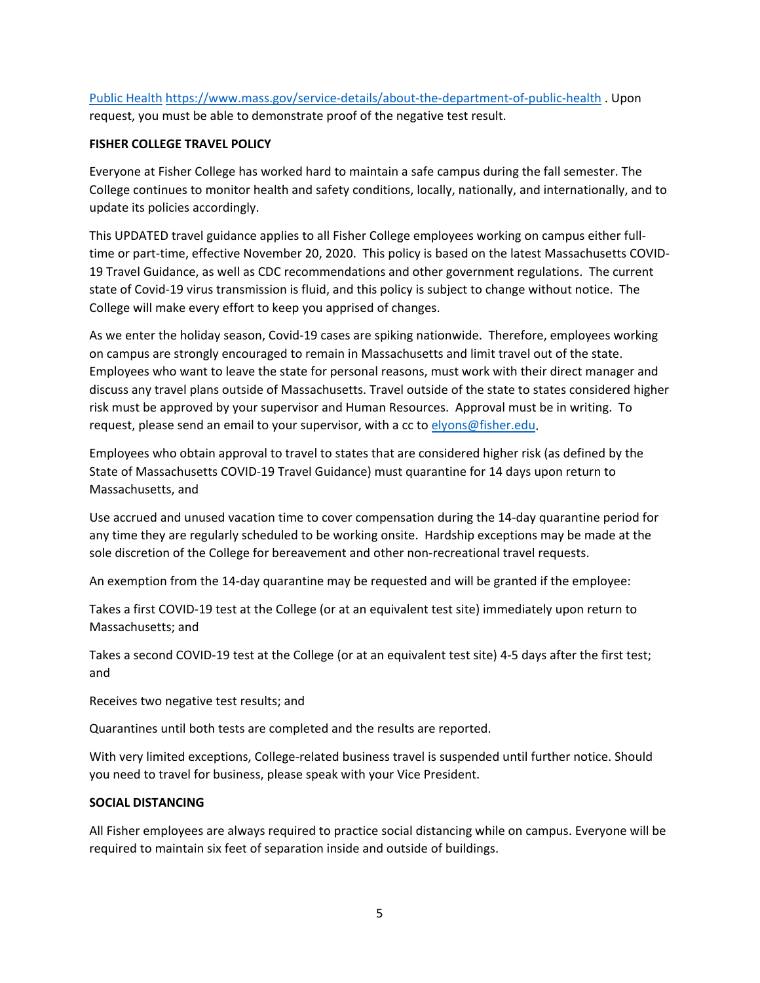[Public Health](https://www.mass.gov/service-details/about-the-department-of-public-health) <https://www.mass.gov/service-details/about-the-department-of-public-health> . Upon request, you must be able to demonstrate proof of the negative test result.

#### **FISHER COLLEGE TRAVEL POLICY**

Everyone at Fisher College has worked hard to maintain a safe campus during the fall semester. The College continues to monitor health and safety conditions, locally, nationally, and internationally, and to update its policies accordingly.

This UPDATED travel guidance applies to all Fisher College employees working on campus either fulltime or part-time, effective November 20, 2020. This policy is based on the latest Massachusetts COVID-19 Travel Guidance, as well as CDC recommendations and other government regulations. The current state of Covid-19 virus transmission is fluid, and this policy is subject to change without notice. The College will make every effort to keep you apprised of changes.

As we enter the holiday season, Covid-19 cases are spiking nationwide. Therefore, employees working on campus are strongly encouraged to remain in Massachusetts and limit travel out of the state. Employees who want to leave the state for personal reasons, must work with their direct manager and discuss any travel plans outside of Massachusetts. Travel outside of the state to states considered higher risk must be approved by your supervisor and Human Resources. Approval must be in writing. To request, please send an email to your supervisor, with a cc to [elyons@fisher.edu.](mailto:elyons@fisher.edu)

Employees who obtain approval to travel to states that are considered higher risk (as defined by the State of Massachusetts COVID-19 Travel Guidance) must quarantine for 14 days upon return to Massachusetts, and

Use accrued and unused vacation time to cover compensation during the 14-day quarantine period for any time they are regularly scheduled to be working onsite. Hardship exceptions may be made at the sole discretion of the College for bereavement and other non-recreational travel requests.

An exemption from the 14-day quarantine may be requested and will be granted if the employee:

Takes a first COVID-19 test at the College (or at an equivalent test site) immediately upon return to Massachusetts; and

Takes a second COVID-19 test at the College (or at an equivalent test site) 4-5 days after the first test; and

Receives two negative test results; and

Quarantines until both tests are completed and the results are reported.

With very limited exceptions, College-related business travel is suspended until further notice. Should you need to travel for business, please speak with your Vice President.

## **SOCIAL DISTANCING**

All Fisher employees are always required to practice social distancing while on campus. Everyone will be required to maintain six feet of separation inside and outside of buildings.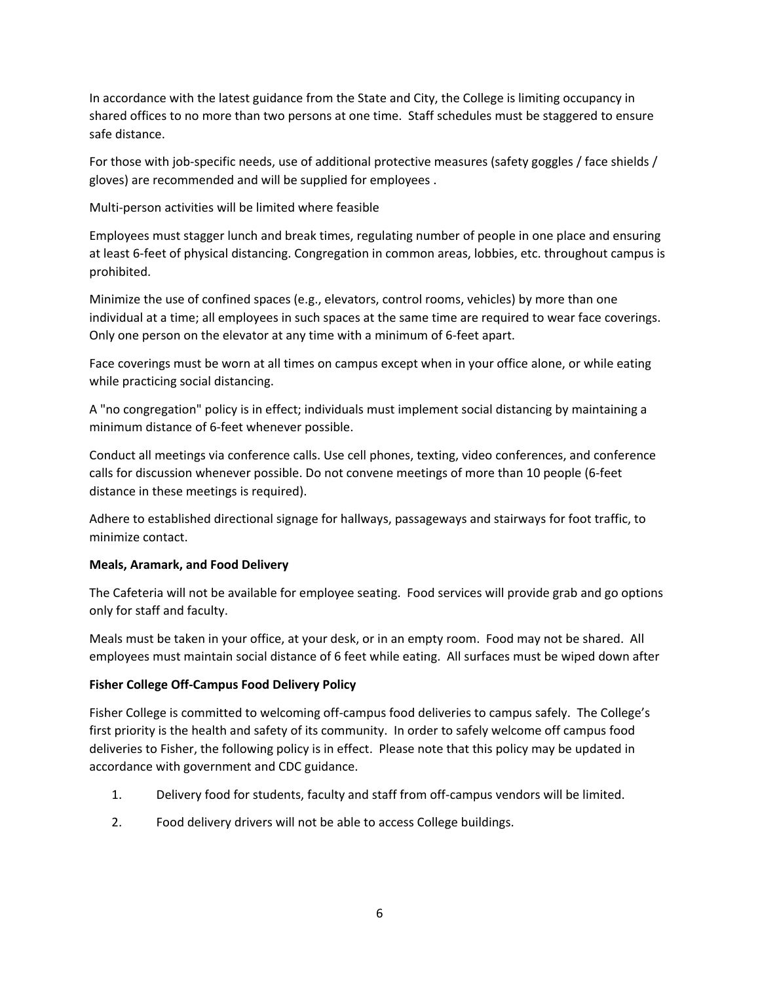In accordance with the latest guidance from the State and City, the College is limiting occupancy in shared offices to no more than two persons at one time. Staff schedules must be staggered to ensure safe distance.

For those with job-specific needs, use of additional protective measures (safety goggles / face shields / gloves) are recommended and will be supplied for employees .

Multi-person activities will be limited where feasible

Employees must stagger lunch and break times, regulating number of people in one place and ensuring at least 6-feet of physical distancing. Congregation in common areas, lobbies, etc. throughout campus is prohibited.

Minimize the use of confined spaces (e.g., elevators, control rooms, vehicles) by more than one individual at a time; all employees in such spaces at the same time are required to wear face coverings. Only one person on the elevator at any time with a minimum of 6-feet apart.

Face coverings must be worn at all times on campus except when in your office alone, or while eating while practicing social distancing.

A "no congregation" policy is in effect; individuals must implement social distancing by maintaining a minimum distance of 6-feet whenever possible.

Conduct all meetings via conference calls. Use cell phones, texting, video conferences, and conference calls for discussion whenever possible. Do not convene meetings of more than 10 people (6-feet distance in these meetings is required).

Adhere to established directional signage for hallways, passageways and stairways for foot traffic, to minimize contact.

# **Meals, Aramark, and Food Delivery**

The Cafeteria will not be available for employee seating. Food services will provide grab and go options only for staff and faculty.

Meals must be taken in your office, at your desk, or in an empty room. Food may not be shared. All employees must maintain social distance of 6 feet while eating. All surfaces must be wiped down after

# **Fisher College Off-Campus Food Delivery Policy**

Fisher College is committed to welcoming off-campus food deliveries to campus safely. The College's first priority is the health and safety of its community. In order to safely welcome off campus food deliveries to Fisher, the following policy is in effect. Please note that this policy may be updated in accordance with government and CDC guidance.

- 1. Delivery food for students, faculty and staff from off-campus vendors will be limited.
- 2. Food delivery drivers will not be able to access College buildings.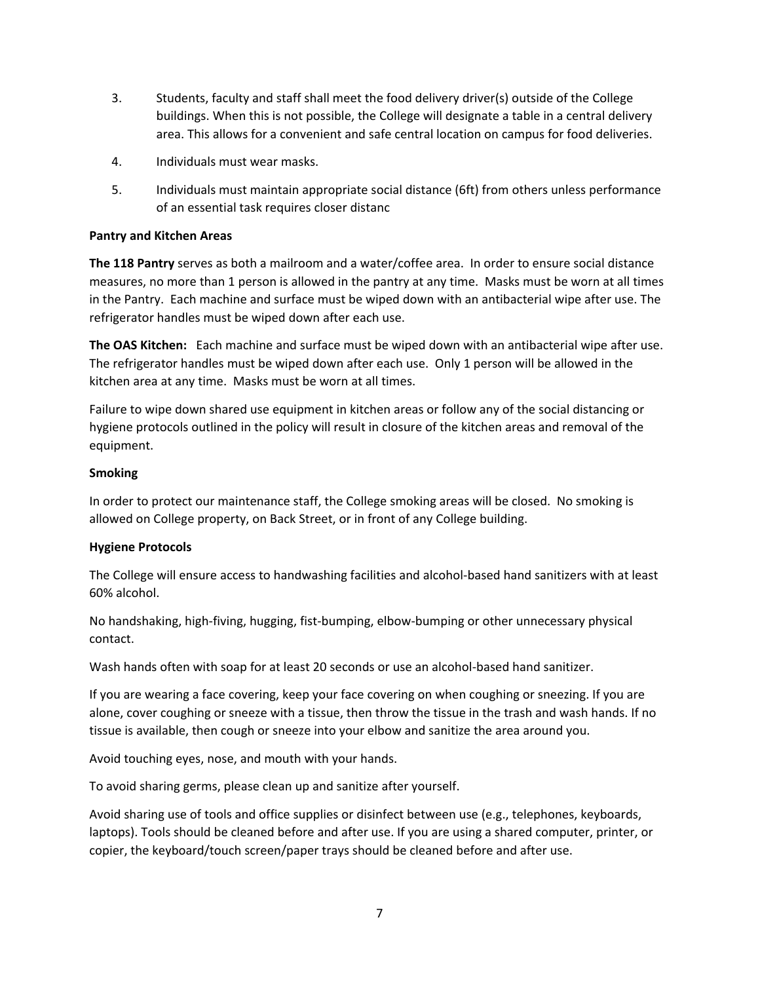- 3. Students, faculty and staff shall meet the food delivery driver(s) outside of the College buildings. When this is not possible, the College will designate a table in a central delivery area. This allows for a convenient and safe central location on campus for food deliveries.
- 4. Individuals must wear masks.
- 5. Individuals must maintain appropriate social distance (6ft) from others unless performance of an essential task requires closer distanc

## **Pantry and Kitchen Areas**

**The 118 Pantry** serves as both a mailroom and a water/coffee area. In order to ensure social distance measures, no more than 1 person is allowed in the pantry at any time. Masks must be worn at all times in the Pantry. Each machine and surface must be wiped down with an antibacterial wipe after use. The refrigerator handles must be wiped down after each use.

**The OAS Kitchen:** Each machine and surface must be wiped down with an antibacterial wipe after use. The refrigerator handles must be wiped down after each use. Only 1 person will be allowed in the kitchen area at any time. Masks must be worn at all times.

Failure to wipe down shared use equipment in kitchen areas or follow any of the social distancing or hygiene protocols outlined in the policy will result in closure of the kitchen areas and removal of the equipment.

## **Smoking**

In order to protect our maintenance staff, the College smoking areas will be closed. No smoking is allowed on College property, on Back Street, or in front of any College building.

## **Hygiene Protocols**

The College will ensure access to handwashing facilities and alcohol-based hand sanitizers with at least 60% alcohol.

No handshaking, high-fiving, hugging, fist-bumping, elbow-bumping or other unnecessary physical contact.

Wash hands often with soap for at least 20 seconds or use an alcohol-based hand sanitizer.

If you are wearing a face covering, keep your face covering on when coughing or sneezing. If you are alone, cover coughing or sneeze with a tissue, then throw the tissue in the trash and wash hands. If no tissue is available, then cough or sneeze into your elbow and sanitize the area around you.

Avoid touching eyes, nose, and mouth with your hands.

To avoid sharing germs, please clean up and sanitize after yourself.

Avoid sharing use of tools and office supplies or disinfect between use (e.g., telephones, keyboards, laptops). Tools should be cleaned before and after use. If you are using a shared computer, printer, or copier, the keyboard/touch screen/paper trays should be cleaned before and after use.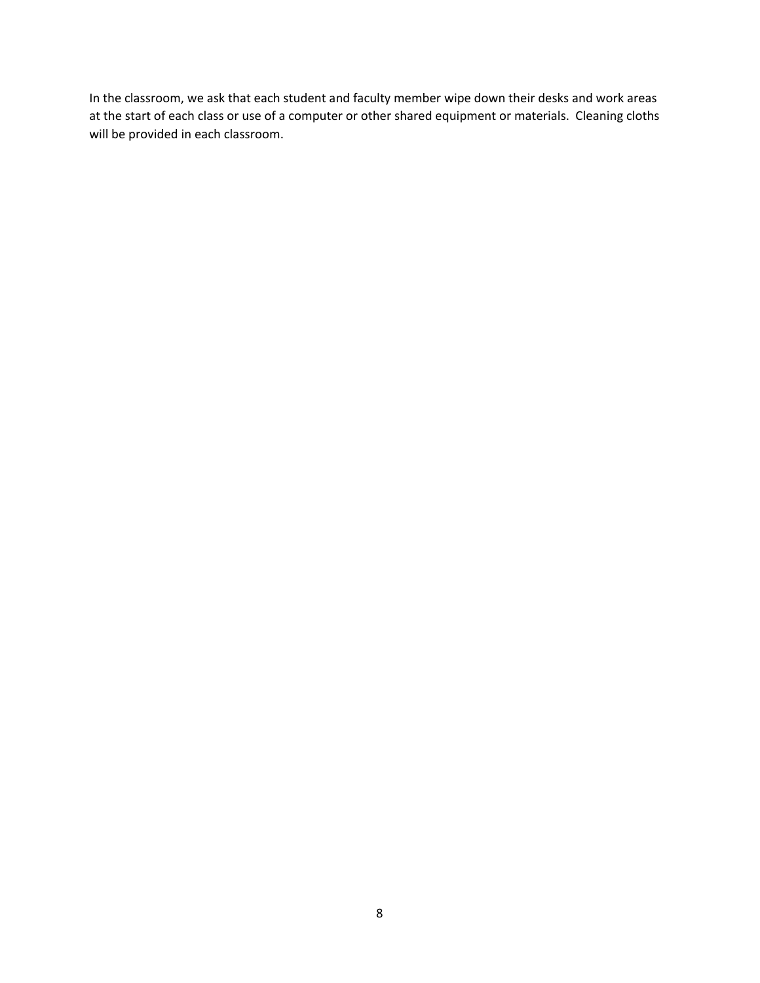In the classroom, we ask that each student and faculty member wipe down their desks and work areas at the start of each class or use of a computer or other shared equipment or materials. Cleaning cloths will be provided in each classroom.